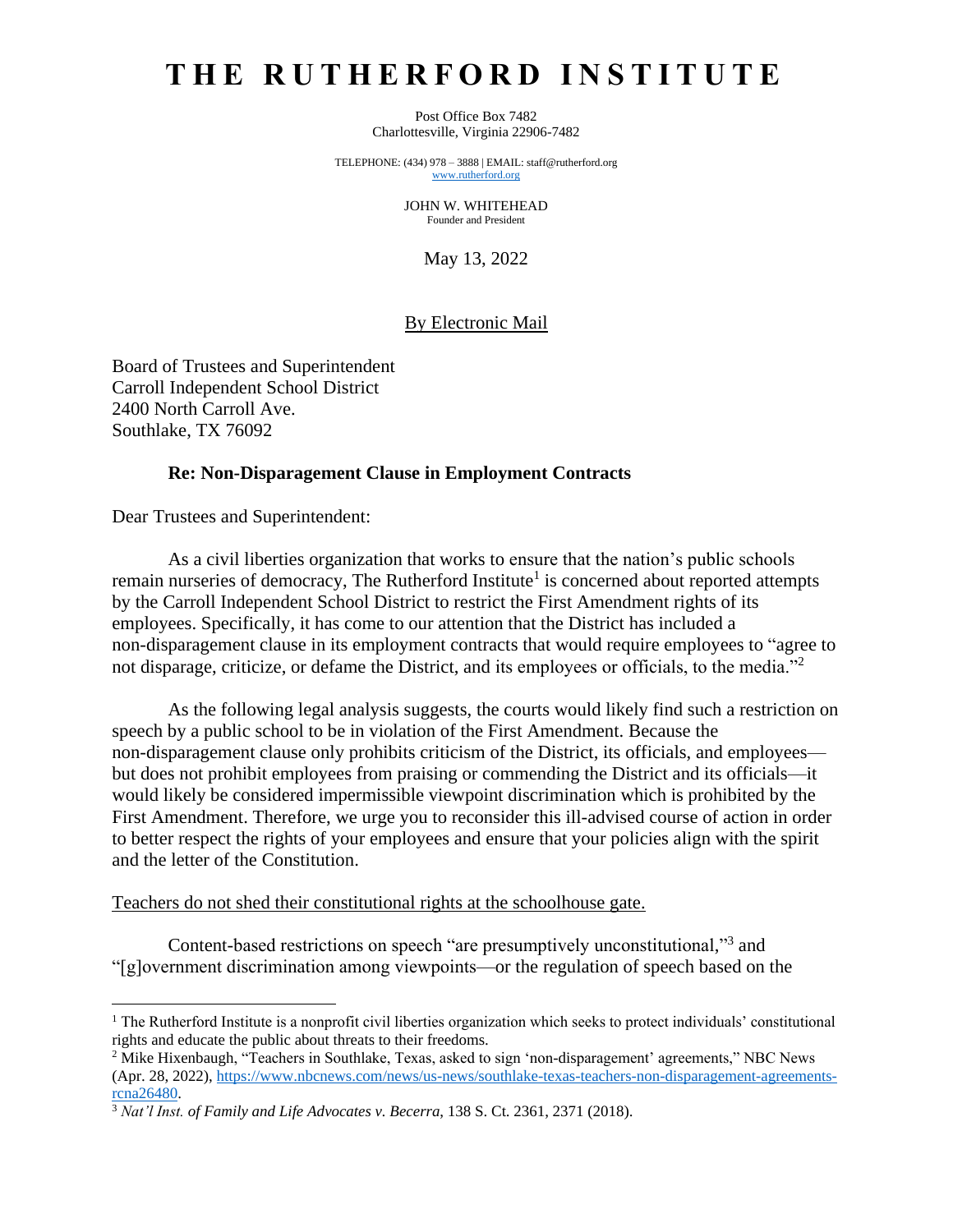# **T H E R U T H E R F O R D I N S T I T U T E**

Post Office Box 7482 Charlottesville, Virginia 22906-7482

TELEPHONE: (434) 978 – 3888 | EMAIL: staff@rutherford.org [www.rutherford.org](http://www.rutherford.org/)

> JOHN W. WHITEHEAD Founder and President

> > May 13, 2022

# By Electronic Mail

Board of Trustees and Superintendent Carroll Independent School District 2400 North Carroll Ave. Southlake, TX 76092

## **Re: Non-Disparagement Clause in Employment Contracts**

Dear Trustees and Superintendent:

As a civil liberties organization that works to ensure that the nation's public schools remain nurseries of democracy, The Rutherford Institute<sup>1</sup> is concerned about reported attempts by the Carroll Independent School District to restrict the First Amendment rights of its employees. Specifically, it has come to our attention that the District has included a non-disparagement clause in its employment contracts that would require employees to "agree to not disparage, criticize, or defame the District, and its employees or officials, to the media."<sup>2</sup>

As the following legal analysis suggests, the courts would likely find such a restriction on speech by a public school to be in violation of the First Amendment. Because the non-disparagement clause only prohibits criticism of the District, its officials, and employees but does not prohibit employees from praising or commending the District and its officials—it would likely be considered impermissible viewpoint discrimination which is prohibited by the First Amendment. Therefore, we urge you to reconsider this ill-advised course of action in order to better respect the rights of your employees and ensure that your policies align with the spirit and the letter of the Constitution.

#### Teachers do not shed their constitutional rights at the schoolhouse gate.

Content-based restrictions on speech "are presumptively unconstitutional,"<sup>3</sup> and "[g]overnment discrimination among viewpoints—or the regulation of speech based on the

<sup>&</sup>lt;sup>1</sup> The Rutherford Institute is a nonprofit civil liberties organization which seeks to protect individuals' constitutional rights and educate the public about threats to their freedoms.

<sup>2</sup> Mike Hixenbaugh, "Teachers in Southlake, Texas, asked to sign 'non-disparagement' agreements," NBC News (Apr. 28, 2022), [https://www.nbcnews.com/news/us-news/southlake-texas-teachers-non-disparagement-agreements](https://www.nbcnews.com/news/us-news/southlake-texas-teachers-non-disparagement-agreements-rcna26480)[rcna26480.](https://www.nbcnews.com/news/us-news/southlake-texas-teachers-non-disparagement-agreements-rcna26480)

<sup>3</sup> *Nat'l Inst. of Family and Life Advocates v. Becerra*, 138 S. Ct. 2361, 2371 (2018).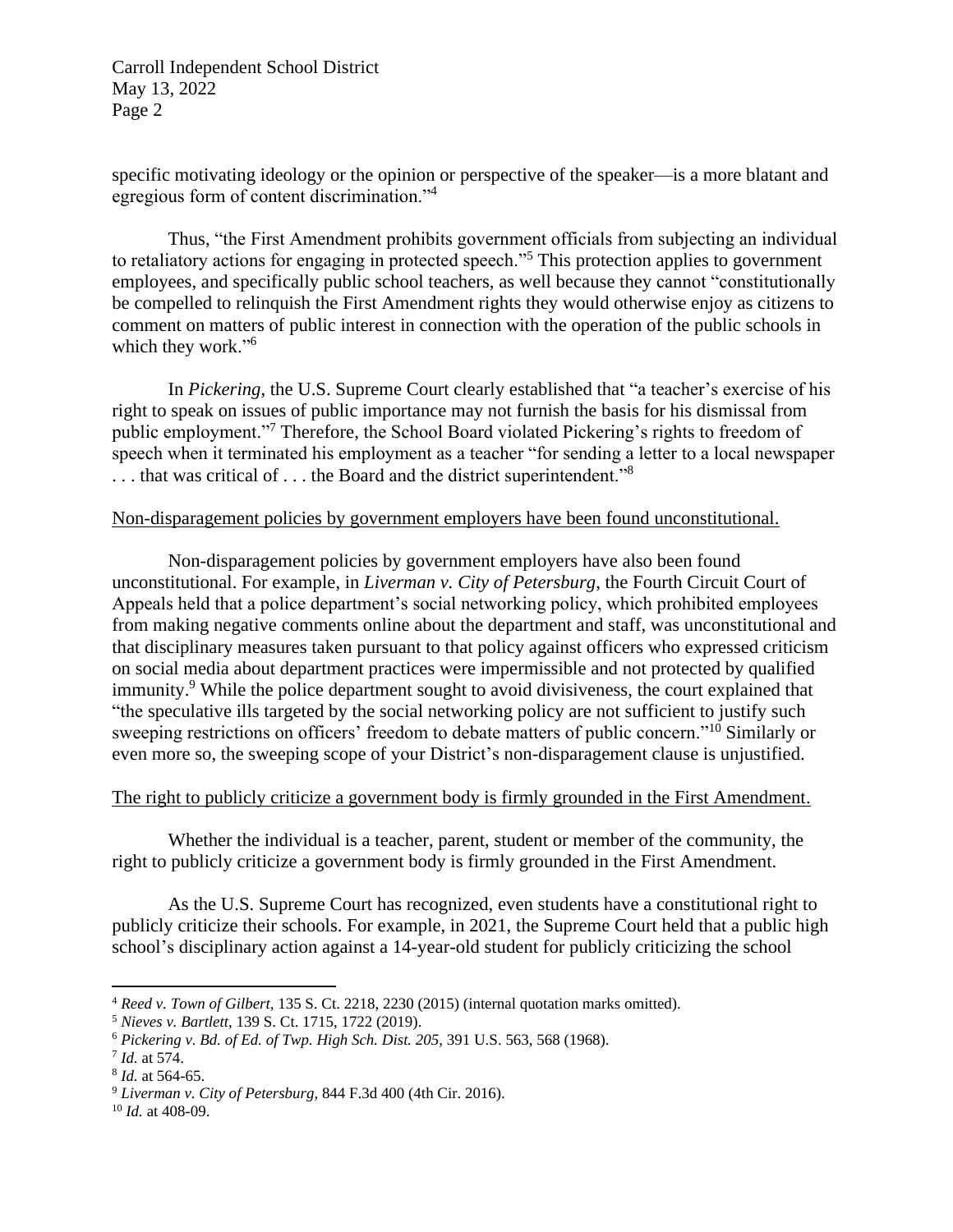Carroll Independent School District May 13, 2022 Page 2

specific motivating ideology or the opinion or perspective of the speaker—is a more blatant and egregious form of content discrimination."<sup>4</sup>

Thus, "the First Amendment prohibits government officials from subjecting an individual to retaliatory actions for engaging in protected speech."<sup>5</sup> This protection applies to government employees, and specifically public school teachers, as well because they cannot "constitutionally be compelled to relinquish the First Amendment rights they would otherwise enjoy as citizens to comment on matters of public interest in connection with the operation of the public schools in which they work."<sup>6</sup>

In *Pickering*, the U.S. Supreme Court clearly established that "a teacher's exercise of his right to speak on issues of public importance may not furnish the basis for his dismissal from public employment."<sup>7</sup> Therefore, the School Board violated Pickering's rights to freedom of speech when it terminated his employment as a teacher "for sending a letter to a local newspaper ... that was critical of ... the Board and the district superintendent."<sup>8</sup>

## Non-disparagement policies by government employers have been found unconstitutional.

Non-disparagement policies by government employers have also been found unconstitutional. For example, in *Liverman v. City of Petersburg*, the Fourth Circuit Court of Appeals held that a police department's social networking policy, which prohibited employees from making negative comments online about the department and staff, was unconstitutional and that disciplinary measures taken pursuant to that policy against officers who expressed criticism on social media about department practices were impermissible and not protected by qualified immunity.<sup>9</sup> While the police department sought to avoid divisiveness, the court explained that "the speculative ills targeted by the social networking policy are not sufficient to justify such sweeping restrictions on officers' freedom to debate matters of public concern."<sup>10</sup> Similarly or even more so, the sweeping scope of your District's non-disparagement clause is unjustified.

# The right to publicly criticize a government body is firmly grounded in the First Amendment.

Whether the individual is a teacher, parent, student or member of the community, the right to publicly criticize a government body is firmly grounded in the First Amendment.

As the U.S. Supreme Court has recognized, even students have a constitutional right to publicly criticize their schools. For example, in 2021, the Supreme Court held that a public high school's disciplinary action against a 14-year-old student for publicly criticizing the school

<sup>4</sup> *Reed v. Town of Gilbert*, 135 S. Ct. 2218, 2230 (2015) (internal quotation marks omitted).

<sup>5</sup> *Nieves v. Bartlett*, 139 S. Ct. 1715, 1722 (2019).

<sup>6</sup> *Pickering v. Bd. of Ed. of Twp. High Sch. Dist. 205*, 391 U.S. 563, 568 (1968).

<sup>7</sup> *Id.* at 574.

<sup>8</sup> *Id.* at 564-65.

<sup>9</sup> *Liverman v. City of Petersburg*, 844 F.3d 400 (4th Cir. 2016).

<sup>10</sup> *Id.* at 408-09.